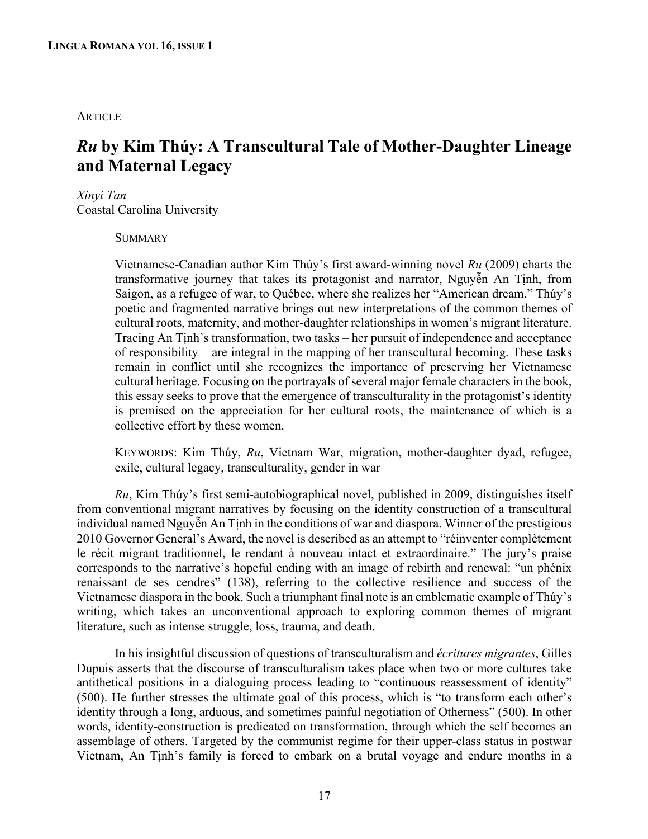## **ARTICLE**

# *Ru* **by Kim Thúy: A Transcultural Tale of Mother-Daughter Lineage and Maternal Legacy**

## *Xinyi Tan*

Coastal Carolina University

**SUMMARY** 

Vietnamese-Canadian author Kim Thúy's first award-winning novel *Ru* (2009) charts the transformative journey that takes its protagonist and narrator, Nguyễn An Tịnh, from Saigon, as a refugee of war, to Québec, where she realizes her "American dream." Thúy's poetic and fragmented narrative brings out new interpretations of the common themes of cultural roots, maternity, and mother-daughter relationships in women's migrant literature. Tracing An Tịnh's transformation, two tasks – her pursuit of independence and acceptance of responsibility – are integral in the mapping of her transcultural becoming. These tasks remain in conflict until she recognizes the importance of preserving her Vietnamese cultural heritage. Focusing on the portrayals of several major female characters in the book, this essay seeks to prove that the emergence of transculturality in the protagonist's identity is premised on the appreciation for her cultural roots, the maintenance of which is a collective effort by these women.

KEYWORDS: Kim Thúy, *Ru*, Vietnam War, migration, mother-daughter dyad, refugee, exile, cultural legacy, transculturality, gender in war

*Ru*, Kim Thúy's first semi-autobiographical novel, published in 2009, distinguishes itself from conventional migrant narratives by focusing on the identity construction of a transcultural individual named Nguyễn An Tịnh in the conditions of war and diaspora. Winner of the prestigious 2010 Governor General's Award, the novel is described as an attempt to "réinventer complètement le récit migrant traditionnel, le rendant à nouveau intact et extraordinaire." The jury's praise corresponds to the narrative's hopeful ending with an image of rebirth and renewal: "un phénix renaissant de ses cendres" (138), referring to the collective resilience and success of the Vietnamese diaspora in the book. Such a triumphant final note is an emblematic example of Thúy's writing, which takes an unconventional approach to exploring common themes of migrant literature, such as intense struggle, loss, trauma, and death.

In his insightful discussion of questions of transculturalism and *écritures migrantes*, Gilles Dupuis asserts that the discourse of transculturalism takes place when two or more cultures take antithetical positions in a dialoguing process leading to "continuous reassessment of identity" (500). He further stresses the ultimate goal of this process, which is "to transform each other's identity through a long, arduous, and sometimes painful negotiation of Otherness" (500). In other words, identity-construction is predicated on transformation, through which the self becomes an assemblage of others. Targeted by the communist regime for their upper-class status in postwar Vietnam, An Tịnh's family is forced to embark on a brutal voyage and endure months in a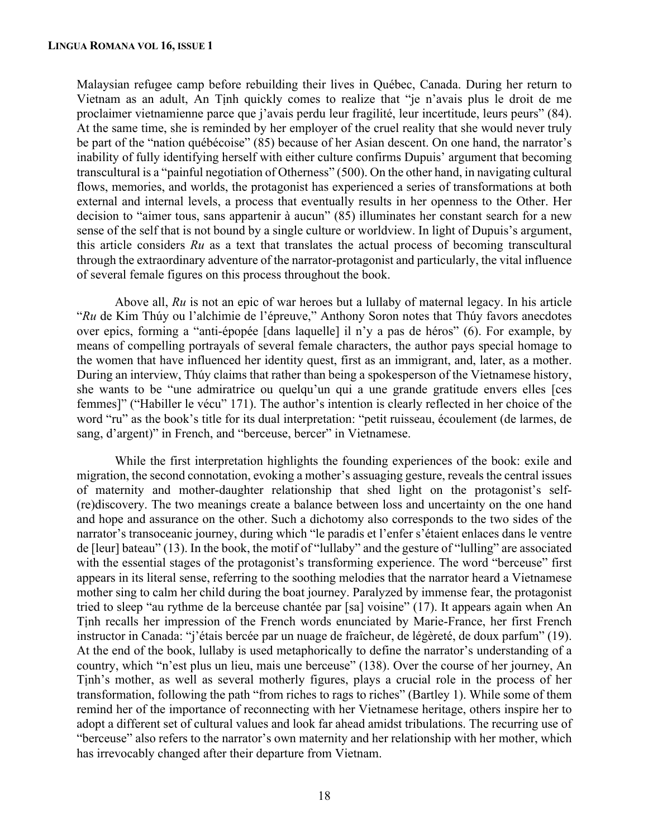Malaysian refugee camp before rebuilding their lives in Québec, Canada. During her return to Vietnam as an adult, An Tịnh quickly comes to realize that "je n'avais plus le droit de me proclaimer vietnamienne parce que j'avais perdu leur fragilité, leur incertitude, leurs peurs" (84). At the same time, she is reminded by her employer of the cruel reality that she would never truly be part of the "nation québécoise" (85) because of her Asian descent. On one hand, the narrator's inability of fully identifying herself with either culture confirms Dupuis' argument that becoming transcultural is a "painful negotiation of Otherness" (500). On the other hand, in navigating cultural flows, memories, and worlds, the protagonist has experienced a series of transformations at both external and internal levels, a process that eventually results in her openness to the Other. Her decision to "aimer tous, sans appartenir à aucun" (85) illuminates her constant search for a new sense of the self that is not bound by a single culture or worldview. In light of Dupuis's argument, this article considers *Ru* as a text that translates the actual process of becoming transcultural through the extraordinary adventure of the narrator-protagonist and particularly, the vital influence of several female figures on this process throughout the book.

Above all, *Ru* is not an epic of war heroes but a lullaby of maternal legacy. In his article "*Ru* de Kim Thúy ou l'alchimie de l'épreuve," Anthony Soron notes that Thúy favors anecdotes over epics, forming a "anti-épopée [dans laquelle] il n'y a pas de héros" (6). For example, by means of compelling portrayals of several female characters, the author pays special homage to the women that have influenced her identity quest, first as an immigrant, and, later, as a mother. During an interview, Thúy claims that rather than being a spokesperson of the Vietnamese history, she wants to be "une admiratrice ou quelqu'un qui a une grande gratitude envers elles [ces femmes]" ("Habiller le vécu" 171). The author's intention is clearly reflected in her choice of the word "ru" as the book's title for its dual interpretation: "petit ruisseau, écoulement (de larmes, de sang, d'argent)" in French, and "berceuse, bercer" in Vietnamese.

While the first interpretation highlights the founding experiences of the book: exile and migration, the second connotation, evoking a mother's assuaging gesture, reveals the central issues of maternity and mother-daughter relationship that shed light on the protagonist's self- (re)discovery. The two meanings create a balance between loss and uncertainty on the one hand and hope and assurance on the other. Such a dichotomy also corresponds to the two sides of the narrator's transoceanic journey, during which "le paradis et l'enfer s'étaient enlaces dans le ventre de [leur] bateau" (13). In the book, the motif of "lullaby" and the gesture of "lulling" are associated with the essential stages of the protagonist's transforming experience. The word "berceuse" first appears in its literal sense, referring to the soothing melodies that the narrator heard a Vietnamese mother sing to calm her child during the boat journey. Paralyzed by immense fear, the protagonist tried to sleep "au rythme de la berceuse chantée par [sa] voisine" (17). It appears again when An Tịnh recalls her impression of the French words enunciated by Marie-France, her first French instructor in Canada: "j'étais bercée par un nuage de fraîcheur, de légèreté, de doux parfum" (19). At the end of the book, lullaby is used metaphorically to define the narrator's understanding of a country, which "n'est plus un lieu, mais une berceuse" (138). Over the course of her journey, An Tịnh's mother, as well as several motherly figures, plays a crucial role in the process of her transformation, following the path "from riches to rags to riches" (Bartley 1). While some of them remind her of the importance of reconnecting with her Vietnamese heritage, others inspire her to adopt a different set of cultural values and look far ahead amidst tribulations. The recurring use of "berceuse" also refers to the narrator's own maternity and her relationship with her mother, which has irrevocably changed after their departure from Vietnam.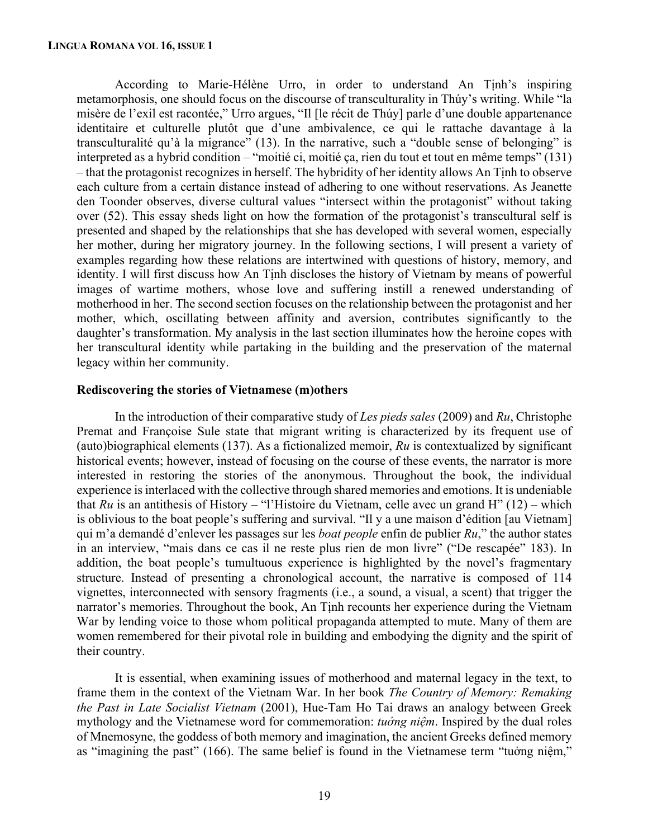According to Marie-Hélène Urro, in order to understand An Tịnh's inspiring metamorphosis, one should focus on the discourse of transculturality in Thúy's writing. While "la misère de l'exil est racontée," Urro argues, "Il [le récit de Thúy] parle d'une double appartenance identitaire et culturelle plutôt que d'une ambivalence, ce qui le rattache davantage à la transculturalité qu'à la migrance" (13). In the narrative, such a "double sense of belonging" is interpreted as a hybrid condition – "moitié ci, moitié ça, rien du tout et tout en même temps" (131) – that the protagonist recognizes in herself. The hybridity of her identity allows An Tịnh to observe each culture from a certain distance instead of adhering to one without reservations. As Jeanette den Toonder observes, diverse cultural values "intersect within the protagonist" without taking over (52). This essay sheds light on how the formation of the protagonist's transcultural self is presented and shaped by the relationships that she has developed with several women, especially her mother, during her migratory journey. In the following sections, I will present a variety of examples regarding how these relations are intertwined with questions of history, memory, and identity. I will first discuss how An Tịnh discloses the history of Vietnam by means of powerful images of wartime mothers, whose love and suffering instill a renewed understanding of motherhood in her. The second section focuses on the relationship between the protagonist and her mother, which, oscillating between affinity and aversion, contributes significantly to the daughter's transformation. My analysis in the last section illuminates how the heroine copes with her transcultural identity while partaking in the building and the preservation of the maternal legacy within her community.

#### **Rediscovering the stories of Vietnamese (m)others**

In the introduction of their comparative study of *Les pieds sales* (2009) and *Ru*, Christophe Premat and Françoise Sule state that migrant writing is characterized by its frequent use of (auto)biographical elements (137). As a fictionalized memoir, *Ru* is contextualized by significant historical events; however, instead of focusing on the course of these events, the narrator is more interested in restoring the stories of the anonymous. Throughout the book, the individual experience is interlaced with the collective through shared memories and emotions. It is undeniable that *Ru* is an antithesis of History – "l'Histoire du Vietnam, celle avec un grand H" (12) – which is oblivious to the boat people's suffering and survival. "Il y a une maison d'édition [au Vietnam] qui m'a demandé d'enlever les passages sur les *boat people* enfin de publier *Ru*," the author states in an interview, "mais dans ce cas il ne reste plus rien de mon livre" ("De rescapée" 183). In addition, the boat people's tumultuous experience is highlighted by the novel's fragmentary structure. Instead of presenting a chronological account, the narrative is composed of 114 vignettes, interconnected with sensory fragments (i.e., a sound, a visual, a scent) that trigger the narrator's memories. Throughout the book, An Tinh recounts her experience during the Vietnam War by lending voice to those whom political propaganda attempted to mute. Many of them are women remembered for their pivotal role in building and embodying the dignity and the spirit of their country.

It is essential, when examining issues of motherhood and maternal legacy in the text, to frame them in the context of the Vietnam War. In her book *The Country of Memory: Remaking the Past in Late Socialist Vietnam* (2001), Hue-Tam Ho Tai draws an analogy between Greek mythology and the Vietnamese word for commemoration: *tuởng niệm*. Inspired by the dual roles of Mnemosyne, the goddess of both memory and imagination, the ancient Greeks defined memory as "imagining the past" (166). The same belief is found in the Vietnamese term "tuởng niệm,"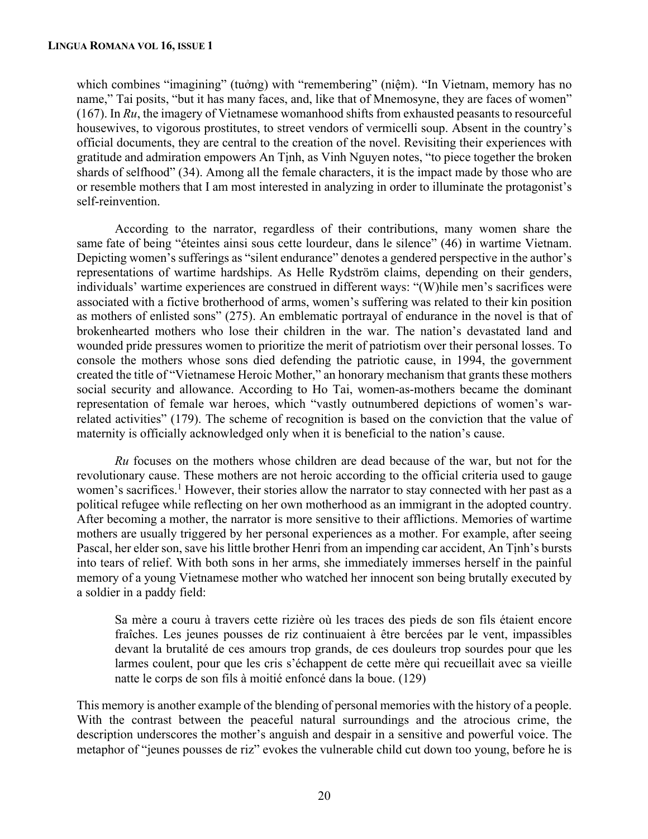which combines "imagining" (tuởng) with "remembering" (niệm). "In Vietnam, memory has no name," Tai posits, "but it has many faces, and, like that of Mnemosyne, they are faces of women" (167). In *Ru*, the imagery of Vietnamese womanhood shifts from exhausted peasants to resourceful housewives, to vigorous prostitutes, to street vendors of vermicelli soup. Absent in the country's official documents, they are central to the creation of the novel. Revisiting their experiences with gratitude and admiration empowers An Tịnh, as Vinh Nguyen notes, "to piece together the broken shards of selfhood" (34). Among all the female characters, it is the impact made by those who are or resemble mothers that I am most interested in analyzing in order to illuminate the protagonist's self-reinvention.

According to the narrator, regardless of their contributions, many women share the same fate of being "éteintes ainsi sous cette lourdeur, dans le silence" (46) in wartime Vietnam. Depicting women's sufferings as "silent endurance" denotes a gendered perspective in the author's representations of wartime hardships. As Helle Rydström claims, depending on their genders, individuals' wartime experiences are construed in different ways: "(W)hile men's sacrifices were associated with a fictive brotherhood of arms, women's suffering was related to their kin position as mothers of enlisted sons" (275). An emblematic portrayal of endurance in the novel is that of brokenhearted mothers who lose their children in the war. The nation's devastated land and wounded pride pressures women to prioritize the merit of patriotism over their personal losses. To console the mothers whose sons died defending the patriotic cause, in 1994, the government created the title of "Vietnamese Heroic Mother," an honorary mechanism that grants these mothers social security and allowance. According to Ho Tai, women-as-mothers became the dominant representation of female war heroes, which "vastly outnumbered depictions of women's warrelated activities" (179). The scheme of recognition is based on the conviction that the value of maternity is officially acknowledged only when it is beneficial to the nation's cause.

*Ru* focuses on the mothers whose children are dead because of the war, but not for the revolutionary cause. These mothers are not heroic according to the official criteria used to gauge women's sacrifices.<sup>1</sup> However, their stories allow the narrator to stay connected with her past as a political refugee while reflecting on her own motherhood as an immigrant in the adopted country. After becoming a mother, the narrator is more sensitive to their afflictions. Memories of wartime mothers are usually triggered by her personal experiences as a mother. For example, after seeing Pascal, her elder son, save his little brother Henri from an impending car accident, An Tịnh's bursts into tears of relief. With both sons in her arms, she immediately immerses herself in the painful memory of a young Vietnamese mother who watched her innocent son being brutally executed by a soldier in a paddy field:

Sa mère a couru à travers cette rizière où les traces des pieds de son fils étaient encore fraîches. Les jeunes pousses de riz continuaient à être bercées par le vent, impassibles devant la brutalité de ces amours trop grands, de ces douleurs trop sourdes pour que les larmes coulent, pour que les cris s'échappent de cette mère qui recueillait avec sa vieille natte le corps de son fils à moitié enfoncé dans la boue. (129)

This memory is another example of the blending of personal memories with the history of a people. With the contrast between the peaceful natural surroundings and the atrocious crime, the description underscores the mother's anguish and despair in a sensitive and powerful voice. The metaphor of "jeunes pousses de riz" evokes the vulnerable child cut down too young, before he is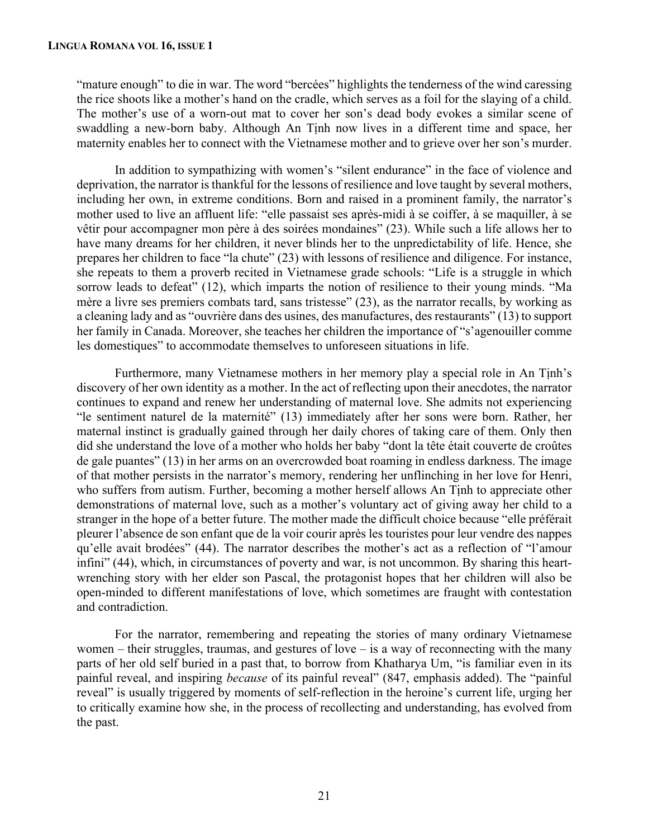#### **LINGUA ROMANA VOL 16, ISSUE 1**

"mature enough" to die in war. The word "bercées" highlights the tenderness of the wind caressing the rice shoots like a mother's hand on the cradle, which serves as a foil for the slaying of a child. The mother's use of a worn-out mat to cover her son's dead body evokes a similar scene of swaddling a new-born baby. Although An Tịnh now lives in a different time and space, her maternity enables her to connect with the Vietnamese mother and to grieve over her son's murder.

In addition to sympathizing with women's "silent endurance" in the face of violence and deprivation, the narrator is thankful for the lessons of resilience and love taught by several mothers, including her own, in extreme conditions. Born and raised in a prominent family, the narrator's mother used to live an affluent life: "elle passaist ses après-midi à se coiffer, à se maquiller, à se vêtir pour accompagner mon père à des soirées mondaines" (23). While such a life allows her to have many dreams for her children, it never blinds her to the unpredictability of life. Hence, she prepares her children to face "la chute" (23) with lessons of resilience and diligence. For instance, she repeats to them a proverb recited in Vietnamese grade schools: "Life is a struggle in which sorrow leads to defeat" (12), which imparts the notion of resilience to their young minds. "Ma mère a livre ses premiers combats tard, sans tristesse" (23), as the narrator recalls, by working as a cleaning lady and as "ouvrière dans des usines, des manufactures, des restaurants" (13) to support her family in Canada. Moreover, she teaches her children the importance of "s'agenouiller comme les domestiques" to accommodate themselves to unforeseen situations in life.

Furthermore, many Vietnamese mothers in her memory play a special role in An Tịnh's discovery of her own identity as a mother. In the act of reflecting upon their anecdotes, the narrator continues to expand and renew her understanding of maternal love. She admits not experiencing "le sentiment naturel de la maternité" (13) immediately after her sons were born. Rather, her maternal instinct is gradually gained through her daily chores of taking care of them. Only then did she understand the love of a mother who holds her baby "dont la tête était couverte de croûtes de gale puantes" (13) in her arms on an overcrowded boat roaming in endless darkness. The image of that mother persists in the narrator's memory, rendering her unflinching in her love for Henri, who suffers from autism. Further, becoming a mother herself allows An Tinh to appreciate other demonstrations of maternal love, such as a mother's voluntary act of giving away her child to a stranger in the hope of a better future. The mother made the difficult choice because "elle préférait pleurer l'absence de son enfant que de la voir courir après les touristes pour leur vendre des nappes qu'elle avait brodées" (44). The narrator describes the mother's act as a reflection of "l'amour infini" (44), which, in circumstances of poverty and war, is not uncommon. By sharing this heartwrenching story with her elder son Pascal, the protagonist hopes that her children will also be open-minded to different manifestations of love, which sometimes are fraught with contestation and contradiction.

For the narrator, remembering and repeating the stories of many ordinary Vietnamese women – their struggles, traumas, and gestures of love – is a way of reconnecting with the many parts of her old self buried in a past that, to borrow from Khatharya Um, "is familiar even in its painful reveal, and inspiring *because* of its painful reveal" (847, emphasis added). The "painful reveal" is usually triggered by moments of self-reflection in the heroine's current life, urging her to critically examine how she, in the process of recollecting and understanding, has evolved from the past.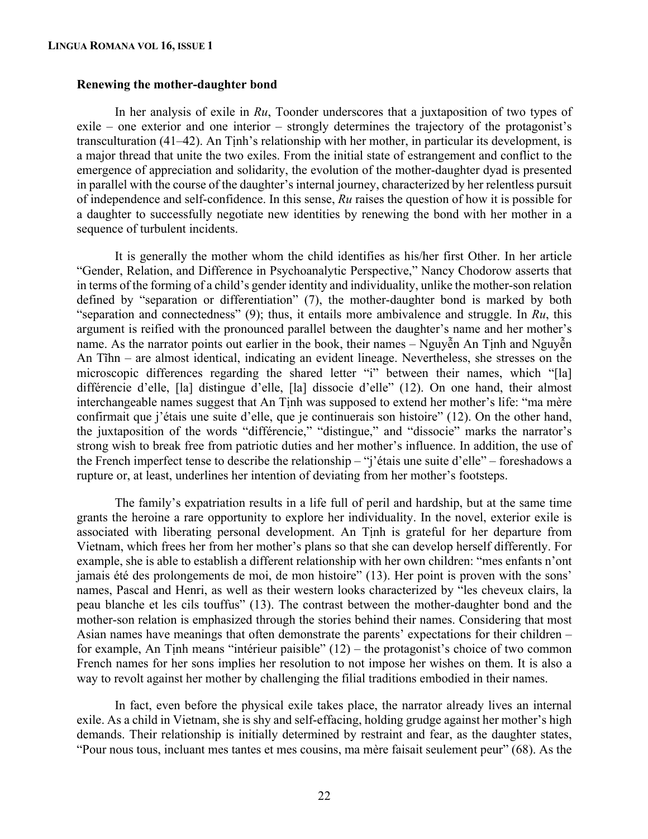#### **Renewing the mother-daughter bond**

In her analysis of exile in *Ru*, Toonder underscores that a juxtaposition of two types of exile – one exterior and one interior – strongly determines the trajectory of the protagonist's transculturation (41–42). An Tinh's relationship with her mother, in particular its development, is a major thread that unite the two exiles. From the initial state of estrangement and conflict to the emergence of appreciation and solidarity, the evolution of the mother-daughter dyad is presented in parallel with the course of the daughter's internal journey, characterized by her relentless pursuit of independence and self-confidence. In this sense, *Ru* raises the question of how it is possible for a daughter to successfully negotiate new identities by renewing the bond with her mother in a sequence of turbulent incidents.

It is generally the mother whom the child identifies as his/her first Other. In her article "Gender, Relation, and Difference in Psychoanalytic Perspective," Nancy Chodorow asserts that in terms of the forming of a child's gender identity and individuality, unlike the mother-son relation defined by "separation or differentiation" (7), the mother-daughter bond is marked by both "separation and connectedness" (9); thus, it entails more ambivalence and struggle. In *Ru*, this argument is reified with the pronounced parallel between the daughter's name and her mother's name. As the narrator points out earlier in the book, their names – Nguyễn An Tịnh and Nguyễn An Tĩhn – are almost identical, indicating an evident lineage. Nevertheless, she stresses on the microscopic differences regarding the shared letter "i" between their names, which "[la] différencie d'elle, [la] distingue d'elle, [la] dissocie d'elle" (12). On one hand, their almost interchangeable names suggest that An Tịnh was supposed to extend her mother's life: "ma mère confirmait que j'étais une suite d'elle, que je continuerais son histoire" (12). On the other hand, the juxtaposition of the words "différencie," "distingue," and "dissocie" marks the narrator's strong wish to break free from patriotic duties and her mother's influence. In addition, the use of the French imperfect tense to describe the relationship – "j'étais une suite d'elle" – foreshadows a rupture or, at least, underlines her intention of deviating from her mother's footsteps.

The family's expatriation results in a life full of peril and hardship, but at the same time grants the heroine a rare opportunity to explore her individuality. In the novel, exterior exile is associated with liberating personal development. An Tịnh is grateful for her departure from Vietnam, which frees her from her mother's plans so that she can develop herself differently. For example, she is able to establish a different relationship with her own children: "mes enfants n'ont jamais été des prolongements de moi, de mon histoire" (13). Her point is proven with the sons' names, Pascal and Henri, as well as their western looks characterized by "les cheveux clairs, la peau blanche et les cils touffus" (13). The contrast between the mother-daughter bond and the mother-son relation is emphasized through the stories behind their names. Considering that most Asian names have meanings that often demonstrate the parents' expectations for their children – for example, An Tịnh means "intérieur paisible" (12) – the protagonist's choice of two common French names for her sons implies her resolution to not impose her wishes on them. It is also a way to revolt against her mother by challenging the filial traditions embodied in their names.

In fact, even before the physical exile takes place, the narrator already lives an internal exile. As a child in Vietnam, she is shy and self-effacing, holding grudge against her mother's high demands. Their relationship is initially determined by restraint and fear, as the daughter states, "Pour nous tous, incluant mes tantes et mes cousins, ma mère faisait seulement peur" (68). As the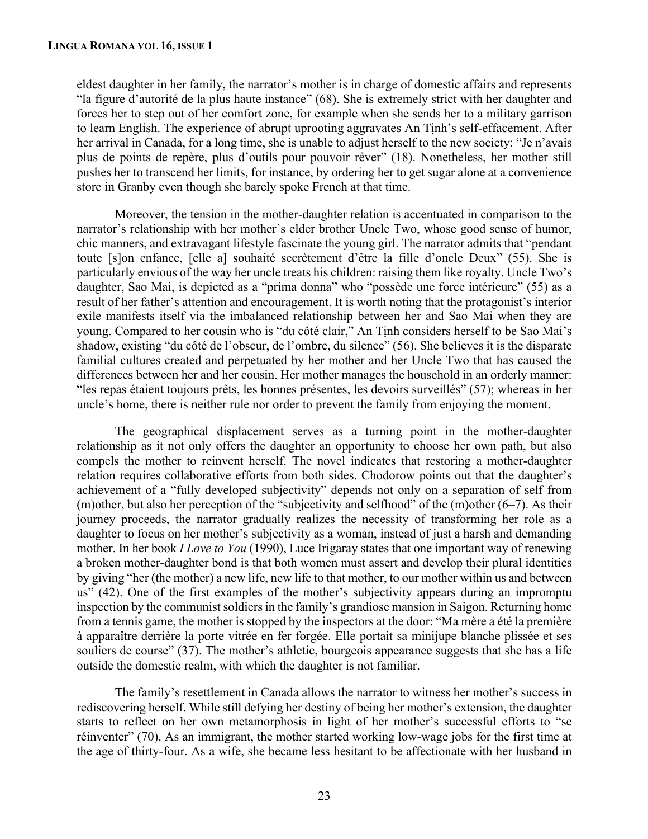eldest daughter in her family, the narrator's mother is in charge of domestic affairs and represents "la figure d'autorité de la plus haute instance" (68). She is extremely strict with her daughter and forces her to step out of her comfort zone, for example when she sends her to a military garrison to learn English. The experience of abrupt uprooting aggravates An Tịnh's self-effacement. After her arrival in Canada, for a long time, she is unable to adjust herself to the new society: "Je n'avais plus de points de repère, plus d'outils pour pouvoir rêver" (18). Nonetheless, her mother still pushes her to transcend her limits, for instance, by ordering her to get sugar alone at a convenience store in Granby even though she barely spoke French at that time.

Moreover, the tension in the mother-daughter relation is accentuated in comparison to the narrator's relationship with her mother's elder brother Uncle Two, whose good sense of humor, chic manners, and extravagant lifestyle fascinate the young girl. The narrator admits that "pendant toute [s]on enfance, [elle a] souhaité secrètement d'être la fille d'oncle Deux" (55). She is particularly envious of the way her uncle treats his children: raising them like royalty. Uncle Two's daughter, Sao Mai, is depicted as a "prima donna" who "possède une force intérieure" (55) as a result of her father's attention and encouragement. It is worth noting that the protagonist's interior exile manifests itself via the imbalanced relationship between her and Sao Mai when they are young. Compared to her cousin who is "du côté clair," An Tịnh considers herself to be Sao Mai's shadow, existing "du côté de l'obscur, de l'ombre, du silence" (56). She believes it is the disparate familial cultures created and perpetuated by her mother and her Uncle Two that has caused the differences between her and her cousin. Her mother manages the household in an orderly manner: "les repas étaient toujours prêts, les bonnes présentes, les devoirs surveillés" (57); whereas in her uncle's home, there is neither rule nor order to prevent the family from enjoying the moment.

The geographical displacement serves as a turning point in the mother-daughter relationship as it not only offers the daughter an opportunity to choose her own path, but also compels the mother to reinvent herself. The novel indicates that restoring a mother-daughter relation requires collaborative efforts from both sides. Chodorow points out that the daughter's achievement of a "fully developed subjectivity" depends not only on a separation of self from (m)other, but also her perception of the "subjectivity and selfhood" of the  $(m)$ other  $(6-7)$ . As their journey proceeds, the narrator gradually realizes the necessity of transforming her role as a daughter to focus on her mother's subjectivity as a woman, instead of just a harsh and demanding mother. In her book *I Love to You* (1990), Luce Irigaray states that one important way of renewing a broken mother-daughter bond is that both women must assert and develop their plural identities by giving "her (the mother) a new life, new life to that mother, to our mother within us and between us" (42). One of the first examples of the mother's subjectivity appears during an impromptu inspection by the communist soldiers in the family's grandiose mansion in Saigon. Returning home from a tennis game, the mother is stopped by the inspectors at the door: "Ma mère a été la première à apparaître derrière la porte vitrée en fer forgée. Elle portait sa minijupe blanche plissée et ses souliers de course" (37). The mother's athletic, bourgeois appearance suggests that she has a life outside the domestic realm, with which the daughter is not familiar.

The family's resettlement in Canada allows the narrator to witness her mother's success in rediscovering herself. While still defying her destiny of being her mother's extension, the daughter starts to reflect on her own metamorphosis in light of her mother's successful efforts to "se réinventer" (70). As an immigrant, the mother started working low-wage jobs for the first time at the age of thirty-four. As a wife, she became less hesitant to be affectionate with her husband in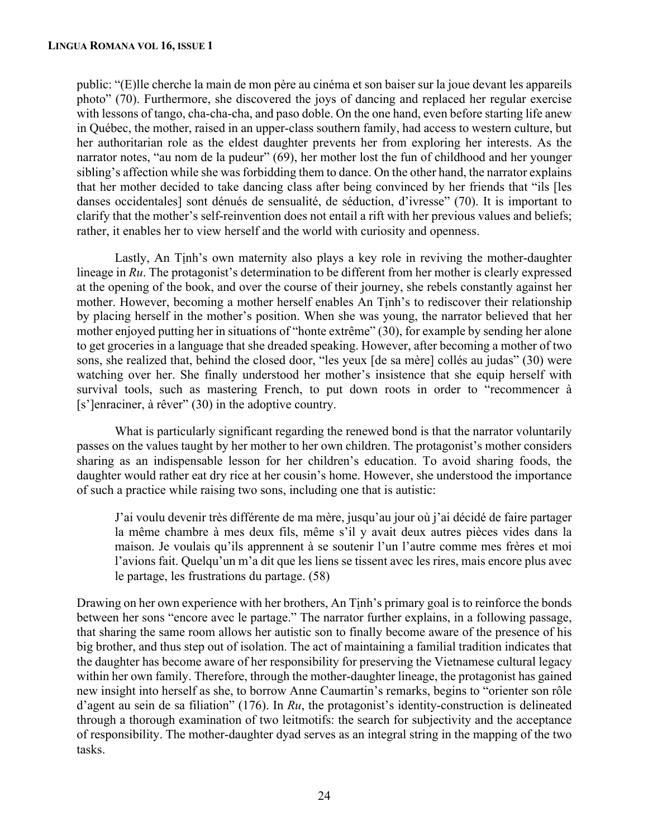public: "(E)lle cherche la main de mon père au cinéma et son baiser sur la joue devant les appareils photo" (70). Furthermore, she discovered the joys of dancing and replaced her regular exercise with lessons of tango, cha-cha-cha, and paso doble. On the one hand, even before starting life anew in Québec, the mother, raised in an upper-class southern family, had access to western culture, but her authoritarian role as the eldest daughter prevents her from exploring her interests. As the narrator notes, "au nom de la pudeur" (69), her mother lost the fun of childhood and her younger sibling's affection while she was forbidding them to dance. On the other hand, the narrator explains that her mother decided to take dancing class after being convinced by her friends that "ils [les danses occidentales] sont dénués de sensualité, de séduction, d'ivresse" (70). It is important to clarify that the mother's self-reinvention does not entail a rift with her previous values and beliefs; rather, it enables her to view herself and the world with curiosity and openness.

Lastly, An Tinh's own maternity also plays a key role in reviving the mother-daughter lineage in *Ru*. The protagonist's determination to be different from her mother is clearly expressed at the opening of the book, and over the course of their journey, she rebels constantly against her mother. However, becoming a mother herself enables An Tịnh's to rediscover their relationship by placing herself in the mother's position. When she was young, the narrator believed that her mother enjoyed putting her in situations of "honte extrême" (30), for example by sending her alone to get groceries in a language that she dreaded speaking. However, after becoming a mother of two sons, she realized that, behind the closed door, "les yeux [de sa mère] collés au judas" (30) were watching over her. She finally understood her mother's insistence that she equip herself with survival tools, such as mastering French, to put down roots in order to "recommencer à [s']enraciner, à rêver" (30) in the adoptive country.

What is particularly significant regarding the renewed bond is that the narrator voluntarily passes on the values taught by her mother to her own children. The protagonist's mother considers sharing as an indispensable lesson for her children's education. To avoid sharing foods, the daughter would rather eat dry rice at her cousin's home. However, she understood the importance of such a practice while raising two sons, including one that is autistic:

J'ai voulu devenir très différente de ma mère, jusqu'au jour où j'ai décidé de faire partager la même chambre à mes deux fils, même s'il y avait deux autres pièces vides dans la maison. Je voulais qu'ils apprennent à se soutenir l'un l'autre comme mes frères et moi l'avions fait. Quelqu'un m'a dit que les liens se tissent avec les rires, mais encore plus avec le partage, les frustrations du partage. (58)

Drawing on her own experience with her brothers, An Tịnh's primary goal is to reinforce the bonds between her sons "encore avec le partage." The narrator further explains, in a following passage, that sharing the same room allows her autistic son to finally become aware of the presence of his big brother, and thus step out of isolation. The act of maintaining a familial tradition indicates that the daughter has become aware of her responsibility for preserving the Vietnamese cultural legacy within her own family. Therefore, through the mother-daughter lineage, the protagonist has gained new insight into herself as she, to borrow Anne Caumartin's remarks, begins to "orienter son rôle d'agent au sein de sa filiation" (176). In *Ru*, the protagonist's identity-construction is delineated through a thorough examination of two leitmotifs: the search for subjectivity and the acceptance of responsibility. The mother-daughter dyad serves as an integral string in the mapping of the two tasks.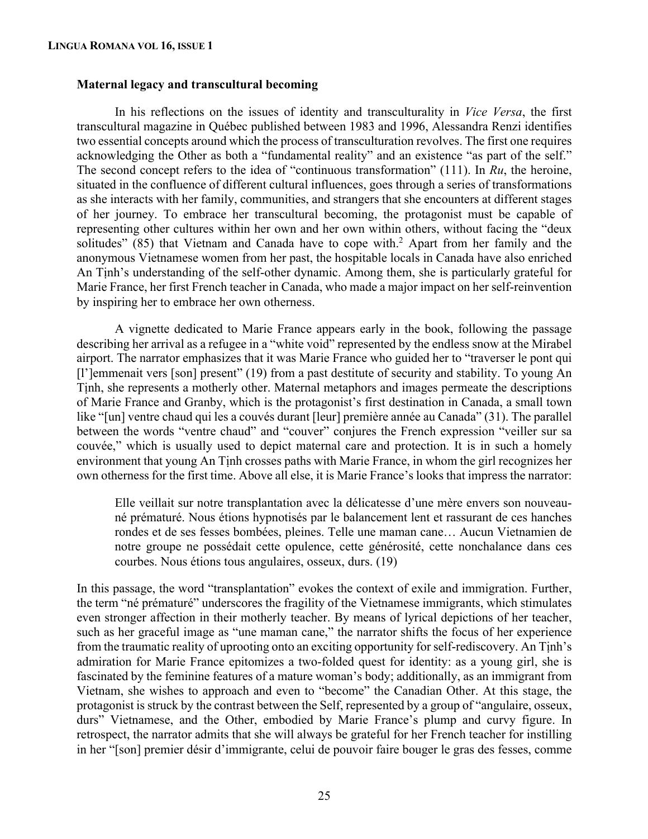### **Maternal legacy and transcultural becoming**

In his reflections on the issues of identity and transculturality in *Vice Versa*, the first transcultural magazine in Québec published between 1983 and 1996, Alessandra Renzi identifies two essential concepts around which the process of transculturation revolves. The first one requires acknowledging the Other as both a "fundamental reality" and an existence "as part of the self." The second concept refers to the idea of "continuous transformation" (111). In *Ru*, the heroine, situated in the confluence of different cultural influences, goes through a series of transformations as she interacts with her family, communities, and strangers that she encounters at different stages of her journey. To embrace her transcultural becoming, the protagonist must be capable of representing other cultures within her own and her own within others, without facing the "deux solitudes" (85) that Vietnam and Canada have to cope with.<sup>2</sup> Apart from her family and the anonymous Vietnamese women from her past, the hospitable locals in Canada have also enriched An Tịnh's understanding of the self-other dynamic. Among them, she is particularly grateful for Marie France, her first French teacher in Canada, who made a major impact on her self-reinvention by inspiring her to embrace her own otherness.

A vignette dedicated to Marie France appears early in the book, following the passage describing her arrival as a refugee in a "white void" represented by the endless snow at the Mirabel airport. The narrator emphasizes that it was Marie France who guided her to "traverser le pont qui [l']emmenait vers [son] present" (19) from a past destitute of security and stability. To young An Tịnh, she represents a motherly other. Maternal metaphors and images permeate the descriptions of Marie France and Granby, which is the protagonist's first destination in Canada, a small town like "[un] ventre chaud qui les a couvés durant [leur] première année au Canada" (31). The parallel between the words "ventre chaud" and "couver" conjures the French expression "veiller sur sa couvée," which is usually used to depict maternal care and protection. It is in such a homely environment that young An Tịnh crosses paths with Marie France, in whom the girl recognizes her own otherness for the first time. Above all else, it is Marie France's looks that impress the narrator:

Elle veillait sur notre transplantation avec la délicatesse d'une mère envers son nouveauné prématuré. Nous étions hypnotisés par le balancement lent et rassurant de ces hanches rondes et de ses fesses bombées, pleines. Telle une maman cane… Aucun Vietnamien de notre groupe ne possédait cette opulence, cette générosité, cette nonchalance dans ces courbes. Nous étions tous angulaires, osseux, durs. (19)

In this passage, the word "transplantation" evokes the context of exile and immigration. Further, the term "né prématuré" underscores the fragility of the Vietnamese immigrants, which stimulates even stronger affection in their motherly teacher. By means of lyrical depictions of her teacher, such as her graceful image as "une maman cane," the narrator shifts the focus of her experience from the traumatic reality of uprooting onto an exciting opportunity for self-rediscovery. An Tịnh's admiration for Marie France epitomizes a two-folded quest for identity: as a young girl, she is fascinated by the feminine features of a mature woman's body; additionally, as an immigrant from Vietnam, she wishes to approach and even to "become" the Canadian Other. At this stage, the protagonist is struck by the contrast between the Self, represented by a group of "angulaire, osseux, durs" Vietnamese, and the Other, embodied by Marie France's plump and curvy figure. In retrospect, the narrator admits that she will always be grateful for her French teacher for instilling in her "[son] premier désir d'immigrante, celui de pouvoir faire bouger le gras des fesses, comme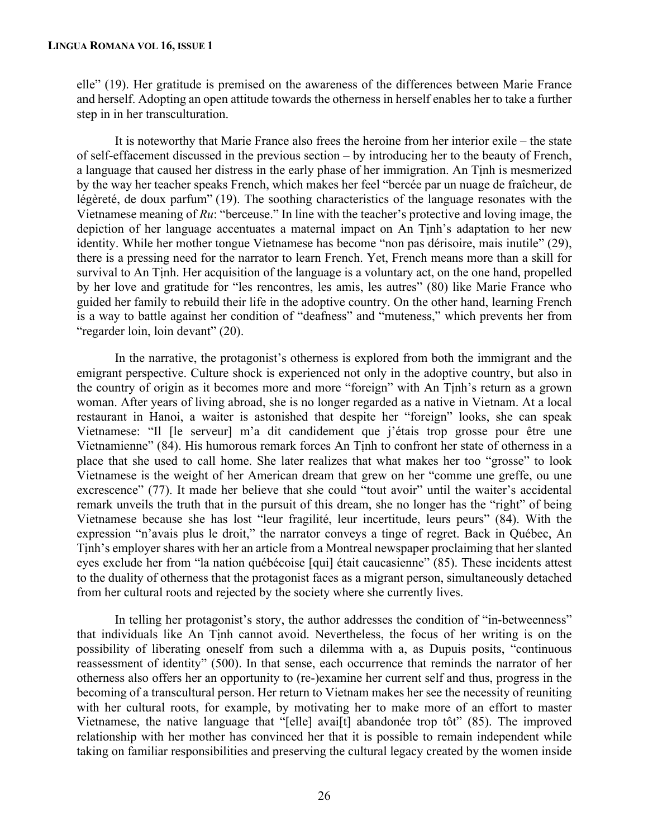elle" (19). Her gratitude is premised on the awareness of the differences between Marie France and herself. Adopting an open attitude towards the otherness in herself enables her to take a further step in in her transculturation.

It is noteworthy that Marie France also frees the heroine from her interior exile – the state of self-effacement discussed in the previous section – by introducing her to the beauty of French, a language that caused her distress in the early phase of her immigration. An Tịnh is mesmerized by the way her teacher speaks French, which makes her feel "bercée par un nuage de fraîcheur, de légèreté, de doux parfum" (19). The soothing characteristics of the language resonates with the Vietnamese meaning of *Ru*: "berceuse." In line with the teacher's protective and loving image, the depiction of her language accentuates a maternal impact on An Tịnh's adaptation to her new identity. While her mother tongue Vietnamese has become "non pas dérisoire, mais inutile" (29), there is a pressing need for the narrator to learn French. Yet, French means more than a skill for survival to An Tịnh. Her acquisition of the language is a voluntary act, on the one hand, propelled by her love and gratitude for "les rencontres, les amis, les autres" (80) like Marie France who guided her family to rebuild their life in the adoptive country. On the other hand, learning French is a way to battle against her condition of "deafness" and "muteness," which prevents her from "regarder loin, loin devant" (20).

In the narrative, the protagonist's otherness is explored from both the immigrant and the emigrant perspective. Culture shock is experienced not only in the adoptive country, but also in the country of origin as it becomes more and more "foreign" with An Tịnh's return as a grown woman. After years of living abroad, she is no longer regarded as a native in Vietnam. At a local restaurant in Hanoi, a waiter is astonished that despite her "foreign" looks, she can speak Vietnamese: "Il [le serveur] m'a dit candidement que j'étais trop grosse pour être une Vietnamienne" (84). His humorous remark forces An Tịnh to confront her state of otherness in a place that she used to call home. She later realizes that what makes her too "grosse" to look Vietnamese is the weight of her American dream that grew on her "comme une greffe, ou une excrescence" (77). It made her believe that she could "tout avoir" until the waiter's accidental remark unveils the truth that in the pursuit of this dream, she no longer has the "right" of being Vietnamese because she has lost "leur fragilité, leur incertitude, leurs peurs" (84). With the expression "n'avais plus le droit," the narrator conveys a tinge of regret. Back in Québec, An Tịnh's employer shares with her an article from a Montreal newspaper proclaiming that her slanted eyes exclude her from "la nation québécoise [qui] était caucasienne" (85). These incidents attest to the duality of otherness that the protagonist faces as a migrant person, simultaneously detached from her cultural roots and rejected by the society where she currently lives.

In telling her protagonist's story, the author addresses the condition of "in-betweenness" that individuals like An Tịnh cannot avoid. Nevertheless, the focus of her writing is on the possibility of liberating oneself from such a dilemma with a, as Dupuis posits, "continuous reassessment of identity" (500). In that sense, each occurrence that reminds the narrator of her otherness also offers her an opportunity to (re-)examine her current self and thus, progress in the becoming of a transcultural person. Her return to Vietnam makes her see the necessity of reuniting with her cultural roots, for example, by motivating her to make more of an effort to master Vietnamese, the native language that "[elle] avai[t] abandonée trop tôt" (85). The improved relationship with her mother has convinced her that it is possible to remain independent while taking on familiar responsibilities and preserving the cultural legacy created by the women inside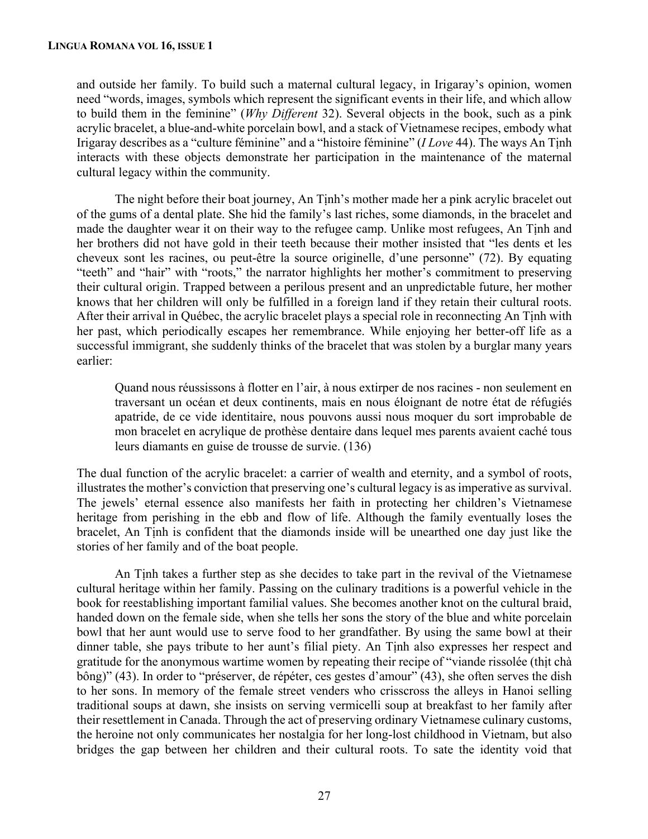and outside her family. To build such a maternal cultural legacy, in Irigaray's opinion, women need "words, images, symbols which represent the significant events in their life, and which allow to build them in the feminine" (*Why Different* 32). Several objects in the book, such as a pink acrylic bracelet, a blue-and-white porcelain bowl, and a stack of Vietnamese recipes, embody what Irigaray describes as a "culture féminine" and a "histoire féminine" (*I Love* 44). The ways An Tịnh interacts with these objects demonstrate her participation in the maintenance of the maternal cultural legacy within the community.

The night before their boat journey, An Tịnh's mother made her a pink acrylic bracelet out of the gums of a dental plate. She hid the family's last riches, some diamonds, in the bracelet and made the daughter wear it on their way to the refugee camp. Unlike most refugees, An Tinh and her brothers did not have gold in their teeth because their mother insisted that "les dents et les cheveux sont les racines, ou peut-être la source originelle, d'une personne" (72). By equating "teeth" and "hair" with "roots," the narrator highlights her mother's commitment to preserving their cultural origin. Trapped between a perilous present and an unpredictable future, her mother knows that her children will only be fulfilled in a foreign land if they retain their cultural roots. After their arrival in Québec, the acrylic bracelet plays a special role in reconnecting An Tịnh with her past, which periodically escapes her remembrance. While enjoying her better-off life as a successful immigrant, she suddenly thinks of the bracelet that was stolen by a burglar many years earlier:

Quand nous réussissons à flotter en l'air, à nous extirper de nos racines - non seulement en traversant un océan et deux continents, mais en nous éloignant de notre état de réfugiés apatride, de ce vide identitaire, nous pouvons aussi nous moquer du sort improbable de mon bracelet en acrylique de prothèse dentaire dans lequel mes parents avaient caché tous leurs diamants en guise de trousse de survie. (136)

The dual function of the acrylic bracelet: a carrier of wealth and eternity, and a symbol of roots, illustrates the mother's conviction that preserving one's cultural legacy is as imperative as survival. The jewels' eternal essence also manifests her faith in protecting her children's Vietnamese heritage from perishing in the ebb and flow of life. Although the family eventually loses the bracelet, An Tịnh is confident that the diamonds inside will be unearthed one day just like the stories of her family and of the boat people.

An Tịnh takes a further step as she decides to take part in the revival of the Vietnamese cultural heritage within her family. Passing on the culinary traditions is a powerful vehicle in the book for reestablishing important familial values. She becomes another knot on the cultural braid, handed down on the female side, when she tells her sons the story of the blue and white porcelain bowl that her aunt would use to serve food to her grandfather. By using the same bowl at their dinner table, she pays tribute to her aunt's filial piety. An Tịnh also expresses her respect and gratitude for the anonymous wartime women by repeating their recipe of "viande rissolée (thit chà bông)" (43). In order to "préserver, de répéter, ces gestes d'amour" (43), she often serves the dish to her sons. In memory of the female street venders who crisscross the alleys in Hanoi selling traditional soups at dawn, she insists on serving vermicelli soup at breakfast to her family after their resettlement in Canada. Through the act of preserving ordinary Vietnamese culinary customs, the heroine not only communicates her nostalgia for her long-lost childhood in Vietnam, but also bridges the gap between her children and their cultural roots. To sate the identity void that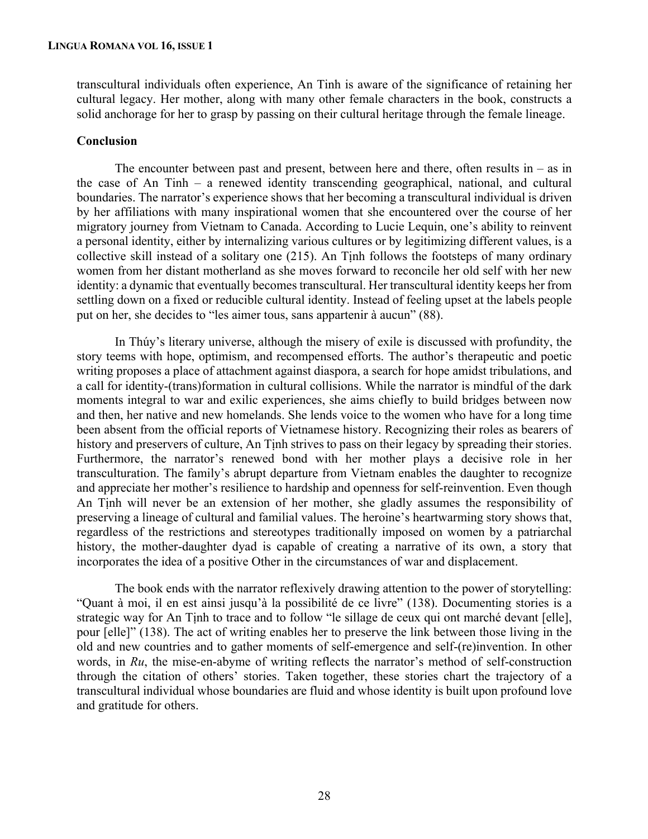transcultural individuals often experience, An Tinh is aware of the significance of retaining her cultural legacy. Her mother, along with many other female characters in the book, constructs a solid anchorage for her to grasp by passing on their cultural heritage through the female lineage.

## **Conclusion**

The encounter between past and present, between here and there, often results in  $-$  as in the case of An Tinh – a renewed identity transcending geographical, national, and cultural boundaries. The narrator's experience shows that her becoming a transcultural individual is driven by her affiliations with many inspirational women that she encountered over the course of her migratory journey from Vietnam to Canada. According to Lucie Lequin, one's ability to reinvent a personal identity, either by internalizing various cultures or by legitimizing different values, is a collective skill instead of a solitary one (215). An Tịnh follows the footsteps of many ordinary women from her distant motherland as she moves forward to reconcile her old self with her new identity: a dynamic that eventually becomes transcultural. Her transcultural identity keeps her from settling down on a fixed or reducible cultural identity. Instead of feeling upset at the labels people put on her, she decides to "les aimer tous, sans appartenir à aucun" (88).

In Thúy's literary universe, although the misery of exile is discussed with profundity, the story teems with hope, optimism, and recompensed efforts. The author's therapeutic and poetic writing proposes a place of attachment against diaspora, a search for hope amidst tribulations, and a call for identity-(trans)formation in cultural collisions. While the narrator is mindful of the dark moments integral to war and exilic experiences, she aims chiefly to build bridges between now and then, her native and new homelands. She lends voice to the women who have for a long time been absent from the official reports of Vietnamese history. Recognizing their roles as bearers of history and preservers of culture, An Tinh strives to pass on their legacy by spreading their stories. Furthermore, the narrator's renewed bond with her mother plays a decisive role in her transculturation. The family's abrupt departure from Vietnam enables the daughter to recognize and appreciate her mother's resilience to hardship and openness for self-reinvention. Even though An Tinh will never be an extension of her mother, she gladly assumes the responsibility of preserving a lineage of cultural and familial values. The heroine's heartwarming story shows that, regardless of the restrictions and stereotypes traditionally imposed on women by a patriarchal history, the mother-daughter dyad is capable of creating a narrative of its own, a story that incorporates the idea of a positive Other in the circumstances of war and displacement.

The book ends with the narrator reflexively drawing attention to the power of storytelling: "Quant à moi, il en est ainsi jusqu'à la possibilité de ce livre" (138). Documenting stories is a strategic way for An Tịnh to trace and to follow "le sillage de ceux qui ont marché devant [elle], pour [elle]" (138). The act of writing enables her to preserve the link between those living in the old and new countries and to gather moments of self-emergence and self-(re)invention. In other words, in *Ru*, the mise-en-abyme of writing reflects the narrator's method of self-construction through the citation of others' stories. Taken together, these stories chart the trajectory of a transcultural individual whose boundaries are fluid and whose identity is built upon profound love and gratitude for others.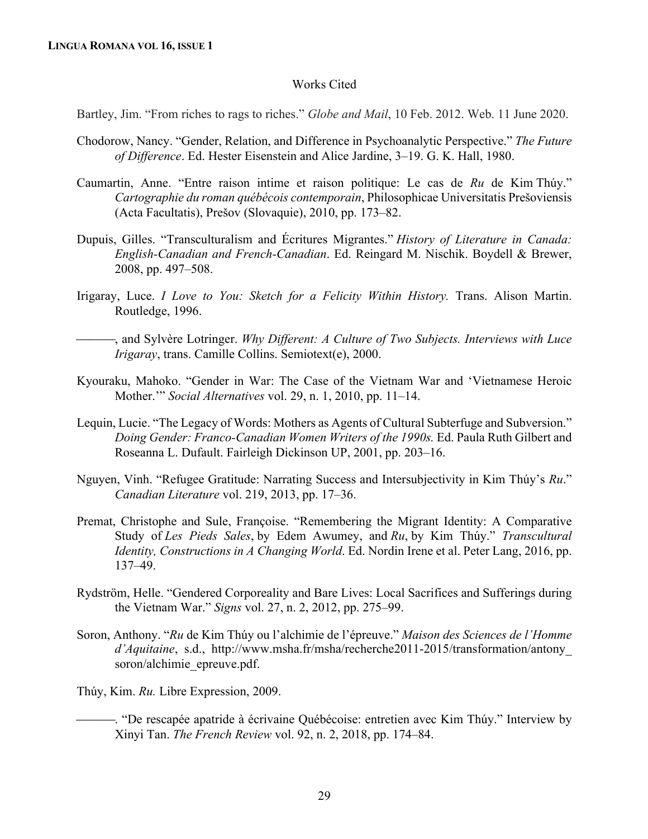#### Works Cited

Bartley, Jim. "From riches to rags to riches." *Globe and Mail*, 10 Feb. 2012. Web. 11 June 2020.

- Chodorow, Nancy. "Gender, Relation, and Difference in Psychoanalytic Perspective." *The Future of Difference*. Ed. Hester Eisenstein and Alice Jardine, 3–19. G. K. Hall, 1980.
- Caumartin, Anne. "Entre raison intime et raison politique: Le cas de *Ru* de Kim Thúy." *Cartographie du roman québécois contemporain*, Philosophicae Universitatis Prešoviensis (Acta Facultatis), Prešov (Slovaquie), 2010, pp. 173–82.
- Dupuis, Gilles. "Transculturalism and Écritures Migrantes." *History of Literature in Canada: English-Canadian and French-Canadian*. Ed. Reingard M. Nischik. Boydell & Brewer, 2008, pp. 497–508.
- Irigaray, Luce. *I Love to You: Sketch for a Felicity Within History.* Trans. Alison Martin. Routledge, 1996.
- ¾¾¾, and Sylvère Lotringer. *Why Different: A Culture of Two Subjects. Interviews with Luce Irigaray*, trans. Camille Collins. Semiotext(e), 2000.
- Kyouraku, Mahoko. "Gender in War: The Case of the Vietnam War and 'Vietnamese Heroic Mother.'" *Social Alternatives* vol. 29, n. 1, 2010, pp. 11–14.
- Lequin, Lucie. "The Legacy of Words: Mothers as Agents of Cultural Subterfuge and Subversion." *Doing Gender: Franco-Canadian Women Writers of the 1990s.* Ed. Paula Ruth Gilbert and Roseanna L. Dufault. Fairleigh Dickinson UP, 2001, pp. 203–16.
- Nguyen, Vinh. "Refugee Gratitude: Narrating Success and Intersubjectivity in Kim Thúy's *Ru*." *Canadian Literature* vol. 219, 2013, pp. 17–36.
- Premat, Christophe and Sule, Françoise. "Remembering the Migrant Identity: A Comparative Study of *Les Pieds Sales*, by Edem Awumey, and *Ru*, by Kim Thúy." *Transcultural Identity, Constructions in A Changing World*. Ed. Nordin Irene et al. Peter Lang, 2016, pp. 137–49.
- Rydström, Helle. "Gendered Corporeality and Bare Lives: Local Sacrifices and Sufferings during the Vietnam War." *Signs* vol. 27, n. 2, 2012, pp. 275–99.
- Soron, Anthony. "*Ru* de Kim Thúy ou l'alchimie de l'épreuve." *Maison des Sciences de l'Homme d'Aquitaine*, s.d., http://www.msha.fr/msha/recherche2011-2015/transformation/antony\_ soron/alchimie\_epreuve.pdf.

Thúy, Kim. *Ru.* Libre Expression, 2009.

¾¾¾. "De rescapée apatride à écrivaine Québécoise: entretien avec Kim Thúy." Interview by Xinyi Tan. *The French Review* vol. 92, n. 2, 2018, pp. 174–84.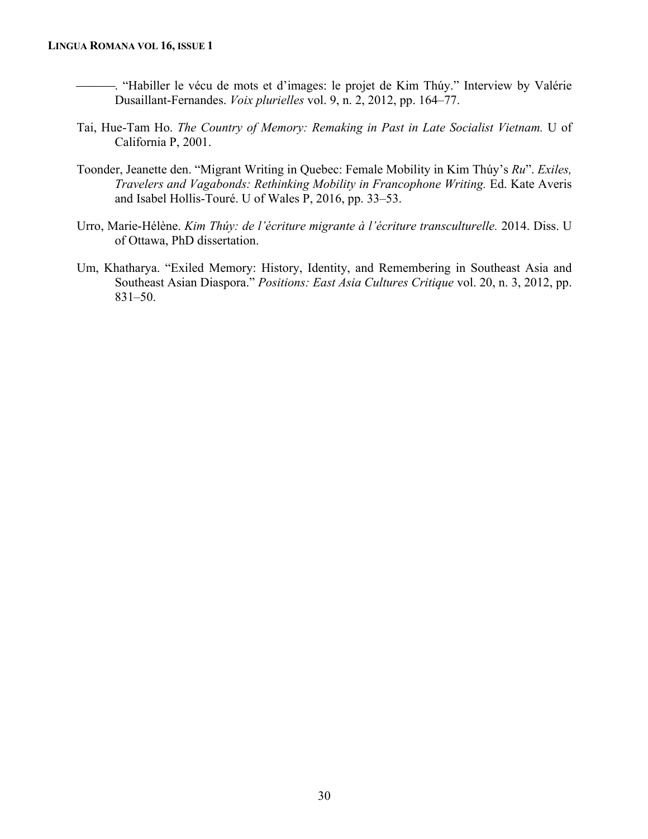- <sup>4</sup>. "Habiller le vécu de mots et d'images: le projet de Kim Thúy." Interview by Valérie Dusaillant-Fernandes. *Voix plurielles* vol. 9, n. 2, 2012, pp. 164–77.
- Tai, Hue-Tam Ho. *The Country of Memory: Remaking in Past in Late Socialist Vietnam.* U of California P, 2001.
- Toonder, Jeanette den. "Migrant Writing in Quebec: Female Mobility in Kim Thúy's *Ru*". *Exiles, Travelers and Vagabonds: Rethinking Mobility in Francophone Writing.* Ed. Kate Averis and Isabel Hollis-Touré. U of Wales P, 2016, pp. 33–53.
- Urro, Marie-Hélène. *Kim Thúy: de l'écriture migrante à l'écriture transculturelle.* 2014. Diss. U of Ottawa, PhD dissertation.
- Um, Khatharya. "Exiled Memory: History, Identity, and Remembering in Southeast Asia and Southeast Asian Diaspora." *Positions: East Asia Cultures Critique* vol. 20, n. 3, 2012, pp. 831–50.